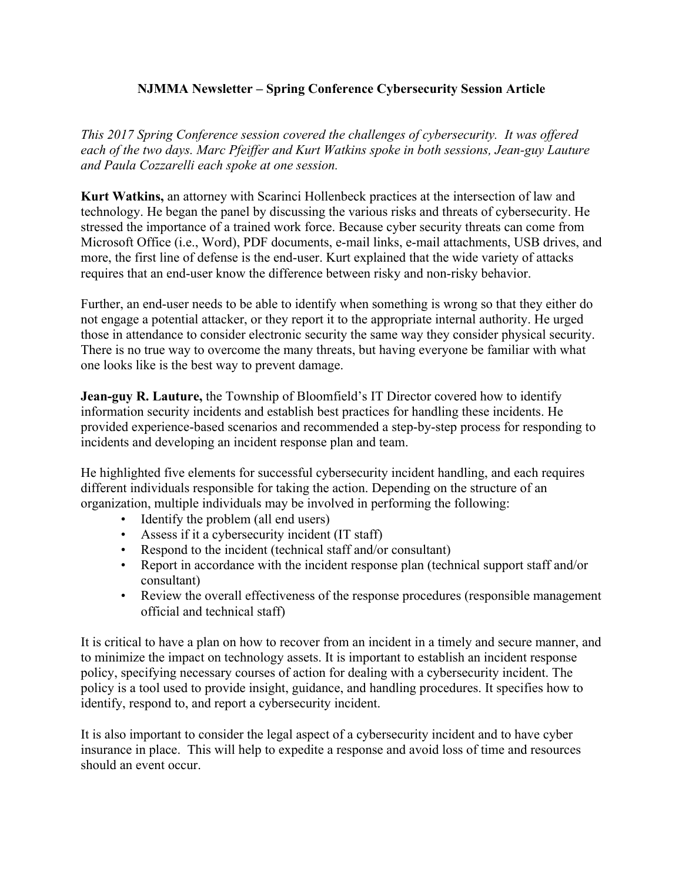## **NJMMA Newsletter – Spring Conference Cybersecurity Session Article**

*This 2017 Spring Conference session covered the challenges of cybersecurity. It was offered each of the two days. Marc Pfeiffer and Kurt Watkins spoke in both sessions, Jean-guy Lauture and Paula Cozzarelli each spoke at one session.*

**Kurt Watkins,** an attorney with Scarinci Hollenbeck practices at the intersection of law and technology. He began the panel by discussing the various risks and threats of cybersecurity. He stressed the importance of a trained work force. Because cyber security threats can come from Microsoft Office (i.e., Word), PDF documents, e-mail links, e-mail attachments, USB drives, and more, the first line of defense is the end-user. Kurt explained that the wide variety of attacks requires that an end-user know the difference between risky and non-risky behavior.

Further, an end-user needs to be able to identify when something is wrong so that they either do not engage a potential attacker, or they report it to the appropriate internal authority. He urged those in attendance to consider electronic security the same way they consider physical security. There is no true way to overcome the many threats, but having everyone be familiar with what one looks like is the best way to prevent damage.

**Jean-guy R. Lauture,** the Township of Bloomfield's IT Director covered how to identify information security incidents and establish best practices for handling these incidents. He provided experience-based scenarios and recommended a step-by-step process for responding to incidents and developing an incident response plan and team.

He highlighted five elements for successful cybersecurity incident handling, and each requires different individuals responsible for taking the action. Depending on the structure of an organization, multiple individuals may be involved in performing the following:

- Identify the problem (all end users)
- Assess if it a cybersecurity incident (IT staff)
- Respond to the incident (technical staff and/or consultant)
- Report in accordance with the incident response plan (technical support staff and/or consultant)
- Review the overall effectiveness of the response procedures (responsible management official and technical staff)

It is critical to have a plan on how to recover from an incident in a timely and secure manner, and to minimize the impact on technology assets. It is important to establish an incident response policy, specifying necessary courses of action for dealing with a cybersecurity incident. The policy is a tool used to provide insight, guidance, and handling procedures. It specifies how to identify, respond to, and report a cybersecurity incident.

It is also important to consider the legal aspect of a cybersecurity incident and to have cyber insurance in place. This will help to expedite a response and avoid loss of time and resources should an event occur.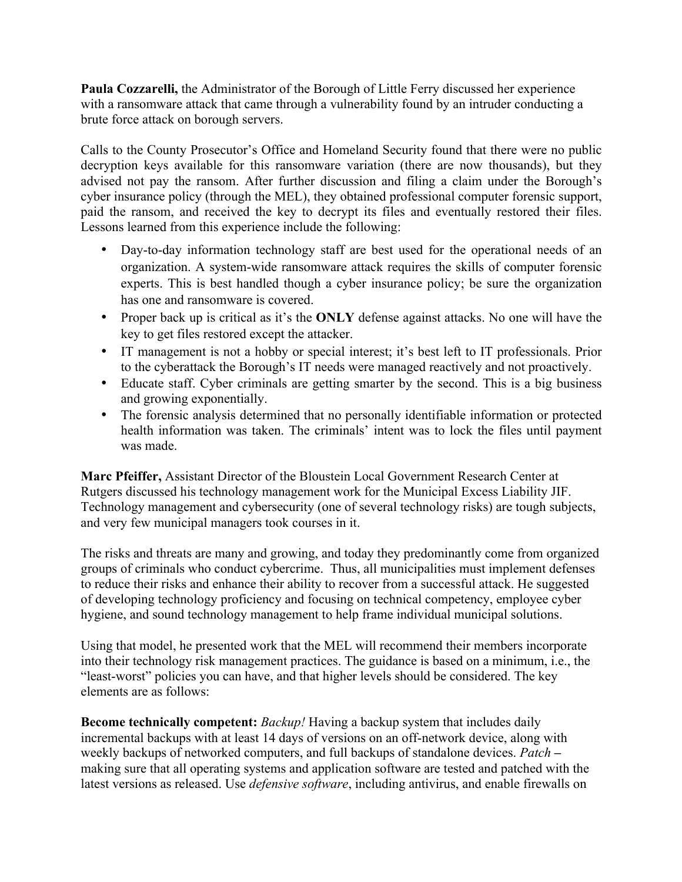**Paula Cozzarelli,** the Administrator of the Borough of Little Ferry discussed her experience with a ransomware attack that came through a vulnerability found by an intruder conducting a brute force attack on borough servers.

Calls to the County Prosecutor's Office and Homeland Security found that there were no public decryption keys available for this ransomware variation (there are now thousands), but they advised not pay the ransom. After further discussion and filing a claim under the Borough's cyber insurance policy (through the MEL), they obtained professional computer forensic support, paid the ransom, and received the key to decrypt its files and eventually restored their files. Lessons learned from this experience include the following:

- Day-to-day information technology staff are best used for the operational needs of an organization. A system-wide ransomware attack requires the skills of computer forensic experts. This is best handled though a cyber insurance policy; be sure the organization has one and ransomware is covered.
- Proper back up is critical as it's the **ONLY** defense against attacks. No one will have the key to get files restored except the attacker.
- IT management is not a hobby or special interest; it's best left to IT professionals. Prior to the cyberattack the Borough's IT needs were managed reactively and not proactively.
- Educate staff. Cyber criminals are getting smarter by the second. This is a big business and growing exponentially.
- The forensic analysis determined that no personally identifiable information or protected health information was taken. The criminals' intent was to lock the files until payment was made.

**Marc Pfeiffer,** Assistant Director of the Bloustein Local Government Research Center at Rutgers discussed his technology management work for the Municipal Excess Liability JIF. Technology management and cybersecurity (one of several technology risks) are tough subjects, and very few municipal managers took courses in it.

The risks and threats are many and growing, and today they predominantly come from organized groups of criminals who conduct cybercrime. Thus, all municipalities must implement defenses to reduce their risks and enhance their ability to recover from a successful attack. He suggested of developing technology proficiency and focusing on technical competency, employee cyber hygiene, and sound technology management to help frame individual municipal solutions.

Using that model, he presented work that the MEL will recommend their members incorporate into their technology risk management practices. The guidance is based on a minimum, i.e., the "least-worst" policies you can have, and that higher levels should be considered. The key elements are as follows:

**Become technically competent:** *Backup!* Having a backup system that includes daily incremental backups with at least 14 days of versions on an off-network device, along with weekly backups of networked computers, and full backups of standalone devices. *Patch* **–** making sure that all operating systems and application software are tested and patched with the latest versions as released. Use *defensive software*, including antivirus, and enable firewalls on